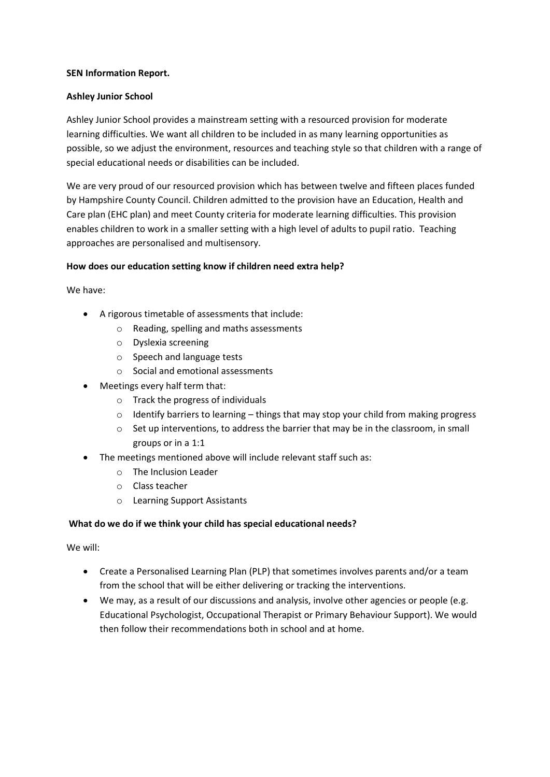## **SEN Information Report.**

## **Ashley Junior School**

Ashley Junior School provides a mainstream setting with a resourced provision for moderate learning difficulties. We want all children to be included in as many learning opportunities as possible, so we adjust the environment, resources and teaching style so that children with a range of special educational needs or disabilities can be included.

We are very proud of our resourced provision which has between twelve and fifteen places funded by Hampshire County Council. Children admitted to the provision have an Education, Health and Care plan (EHC plan) and meet County criteria for moderate learning difficulties. This provision enables children to work in a smaller setting with a high level of adults to pupil ratio. Teaching approaches are personalised and multisensory.

## **How does our education setting know if children need extra help?**

We have:

- A rigorous timetable of assessments that include:
	- o Reading, spelling and maths assessments
	- o Dyslexia screening
	- o Speech and language tests
	- o Social and emotional assessments
- Meetings every half term that:
	- o Track the progress of individuals
	- $\circ$  Identify barriers to learning things that may stop your child from making progress
	- o Set up interventions, to address the barrier that may be in the classroom, in small groups or in a 1:1
- The meetings mentioned above will include relevant staff such as:
	- o The Inclusion Leader
	- o Class teacher
	- o Learning Support Assistants

#### **What do we do if we think your child has special educational needs?**

We will:

- Create a Personalised Learning Plan (PLP) that sometimes involves parents and/or a team from the school that will be either delivering or tracking the interventions.
- We may, as a result of our discussions and analysis, involve other agencies or people (e.g. Educational Psychologist, Occupational Therapist or Primary Behaviour Support). We would then follow their recommendations both in school and at home.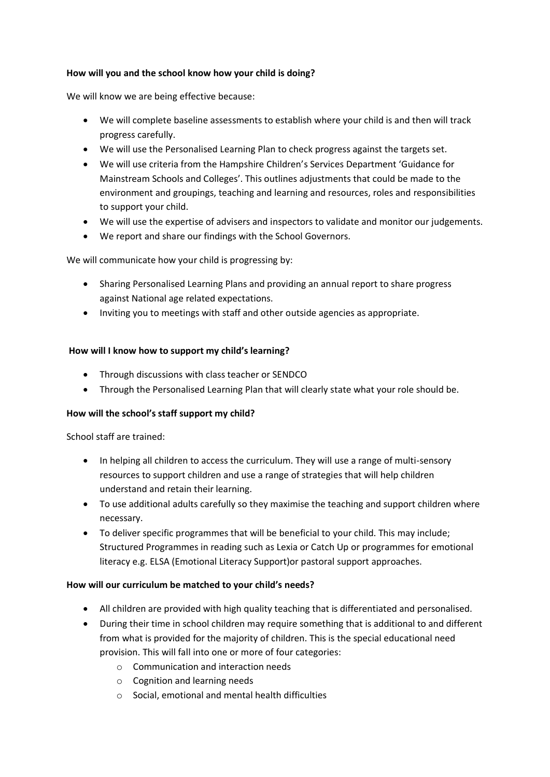## **How will you and the school know how your child is doing?**

We will know we are being effective because:

- We will complete baseline assessments to establish where your child is and then will track progress carefully.
- We will use the Personalised Learning Plan to check progress against the targets set.
- We will use criteria from the Hampshire Children's Services Department 'Guidance for Mainstream Schools and Colleges'. This outlines adjustments that could be made to the environment and groupings, teaching and learning and resources, roles and responsibilities to support your child.
- We will use the expertise of advisers and inspectors to validate and monitor our judgements.
- We report and share our findings with the School Governors.

We will communicate how your child is progressing by:

- Sharing Personalised Learning Plans and providing an annual report to share progress against National age related expectations.
- Inviting you to meetings with staff and other outside agencies as appropriate.

## **How will I know how to support my child's learning?**

- Through discussions with class teacher or SENDCO
- Through the Personalised Learning Plan that will clearly state what your role should be.

# **How will the school's staff support my child?**

School staff are trained:

- In helping all children to access the curriculum. They will use a range of multi-sensory resources to support children and use a range of strategies that will help children understand and retain their learning.
- To use additional adults carefully so they maximise the teaching and support children where necessary.
- To deliver specific programmes that will be beneficial to your child. This may include; Structured Programmes in reading such as Lexia or Catch Up or programmes for emotional literacy e.g. ELSA (Emotional Literacy Support)or pastoral support approaches.

#### **How will our curriculum be matched to your child's needs?**

- All children are provided with high quality teaching that is differentiated and personalised.
- During their time in school children may require something that is additional to and different from what is provided for the majority of children. This is the special educational need provision. This will fall into one or more of four categories:
	- o Communication and interaction needs
	- o Cognition and learning needs
	- o Social, emotional and mental health difficulties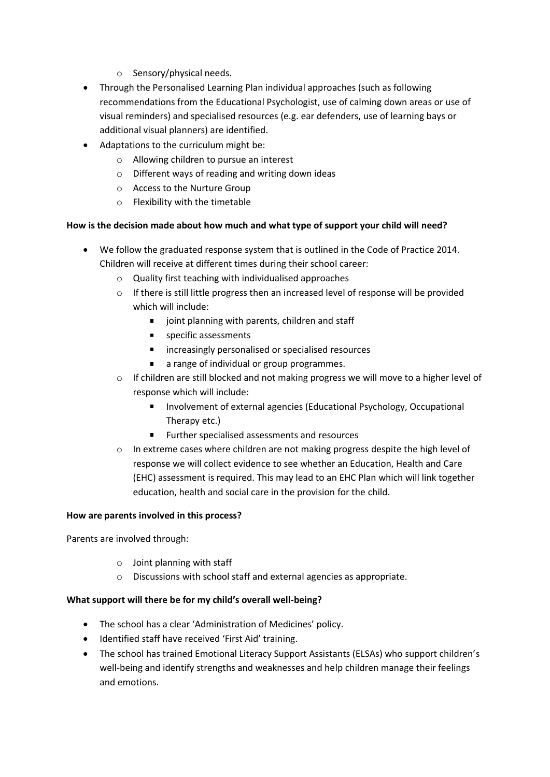- o Sensory/physical needs.
- Through the Personalised Learning Plan individual approaches (such as following recommendations from the Educational Psychologist, use of calming down areas or use of visual reminders) and specialised resources (e.g. ear defenders, use of learning bays or additional visual planners) are identified.
- Adaptations to the curriculum might be:
	- o Allowing children to pursue an interest
	- o Different ways of reading and writing down ideas
	- o Access to the Nurture Group
	- o Flexibility with the timetable

# **How is the decision made about how much and what type of support your child will need?**

- We follow the graduated response system that is outlined in the Code of Practice 2014. Children will receive at different times during their school career:
	- o Quality first teaching with individualised approaches
	- o If there is still little progress then an increased level of response will be provided which will include:
		- $\blacksquare$  joint planning with parents, children and staff
		- **specific assessments**
		- **EXECUTE:** increasingly personalised or specialised resources
		- a range of individual or group programmes.  $\blacksquare$
	- o If children are still blocked and not making progress we will move to a higher level of response which will include:
		- Involvement of external agencies (Educational Psychology, Occupational  $\blacksquare$ Therapy etc.)
		- **Further specialised assessments and resources**
	- $\circ$  In extreme cases where children are not making progress despite the high level of response we will collect evidence to see whether an Education, Health and Care (EHC) assessment is required. This may lead to an EHC Plan which will link together education, health and social care in the provision for the child.

#### **How are parents involved in this process?**

Parents are involved through:

- o Joint planning with staff
- o Discussions with school staff and external agencies as appropriate.

# **What support will there be for my child's overall well-being?**

- The school has a clear 'Administration of Medicines' policy.
- Identified staff have received 'First Aid' training.
- The school has trained Emotional Literacy Support Assistants (ELSAs) who support children's well-being and identify strengths and weaknesses and help children manage their feelings and emotions.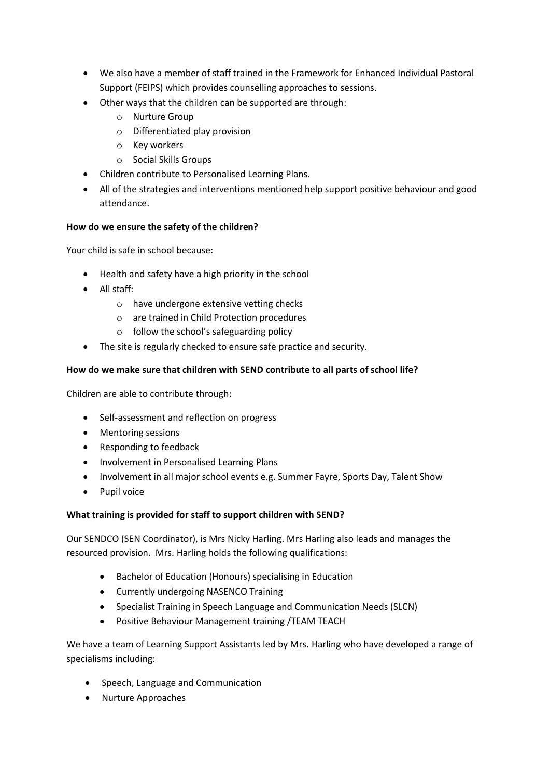- We also have a member of staff trained in the Framework for Enhanced Individual Pastoral Support (FEIPS) which provides counselling approaches to sessions.
- Other ways that the children can be supported are through:
	- o Nurture Group
	- o Differentiated play provision
	- o Key workers
	- o Social Skills Groups
- Children contribute to Personalised Learning Plans.
- All of the strategies and interventions mentioned help support positive behaviour and good attendance.

## **How do we ensure the safety of the children?**

Your child is safe in school because:

- Health and safety have a high priority in the school
- All staff:
	- o have undergone extensive vetting checks
	- o are trained in Child Protection procedures
	- o follow the school's safeguarding policy
- The site is regularly checked to ensure safe practice and security.

## **How do we make sure that children with SEND contribute to all parts of school life?**

Children are able to contribute through:

- Self-assessment and reflection on progress
- Mentoring sessions
- Responding to feedback
- Involvement in Personalised Learning Plans
- Involvement in all major school events e.g. Summer Fayre, Sports Day, Talent Show
- Pupil voice

# **What training is provided for staff to support children with SEND?**

Our SENDCO (SEN Coordinator), is Mrs Nicky Harling. Mrs Harling also leads and manages the resourced provision. Mrs. Harling holds the following qualifications:

- Bachelor of Education (Honours) specialising in Education
- Currently undergoing NASENCO Training
- Specialist Training in Speech Language and Communication Needs (SLCN)
- Positive Behaviour Management training /TEAM TEACH

We have a team of Learning Support Assistants led by Mrs. Harling who have developed a range of specialisms including:

- Speech, Language and Communication
- Nurture Approaches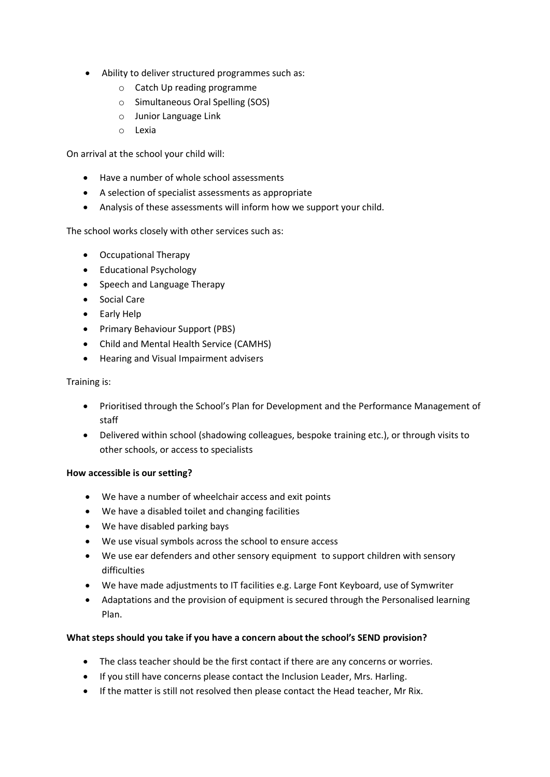- Ability to deliver structured programmes such as:
	- o Catch Up reading programme
	- o Simultaneous Oral Spelling (SOS)
	- o Junior Language Link
	- o Lexia

On arrival at the school your child will:

- Have a number of whole school assessments
- A selection of specialist assessments as appropriate
- Analysis of these assessments will inform how we support your child.

The school works closely with other services such as:

- Occupational Therapy
- Educational Psychology
- Speech and Language Therapy
- Social Care
- Early Help
- Primary Behaviour Support (PBS)
- Child and Mental Health Service (CAMHS)
- Hearing and Visual Impairment advisers

#### Training is:

- Prioritised through the School's Plan for Development and the Performance Management of staff
- Delivered within school (shadowing colleagues, bespoke training etc.), or through visits to other schools, or access to specialists

#### **How accessible is our setting?**

- We have a number of wheelchair access and exit points
- We have a disabled toilet and changing facilities
- We have disabled parking bays
- We use visual symbols across the school to ensure access
- We use ear defenders and other sensory equipment to support children with sensory difficulties
- We have made adjustments to IT facilities e.g. Large Font Keyboard, use of Symwriter
- Adaptations and the provision of equipment is secured through the Personalised learning Plan.

#### **What steps should you take if you have a concern about the school's SEND provision?**

- The class teacher should be the first contact if there are any concerns or worries.
- If you still have concerns please contact the Inclusion Leader, Mrs. Harling.
- If the matter is still not resolved then please contact the Head teacher, Mr Rix.